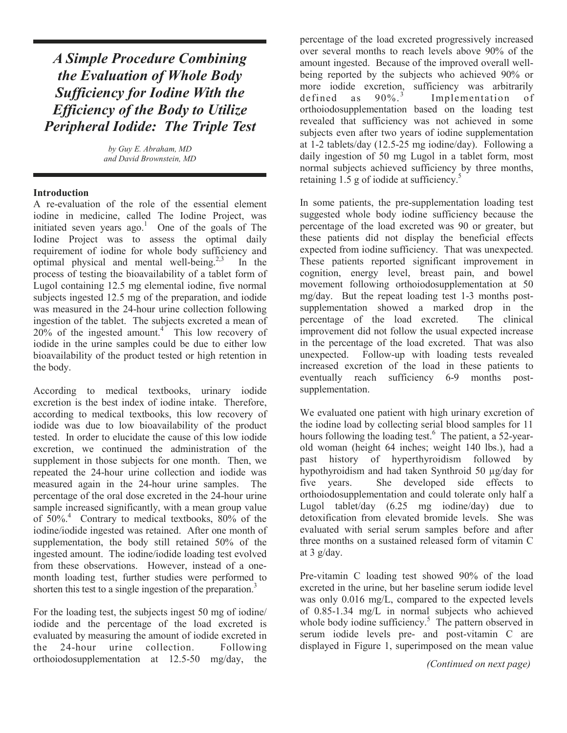# A Simple Procedure Combining the Evaluation of Whole Body Sufficiency for Iodine With the Efficiency of the Body to Utilize Peripheral Iodide: The Triple Test

by Guy E. Abraham, MD and David Brownstein, MD

#### **Introduction**

A re-evaluation of the role of the essential element iodine in medicine, called The Iodine Project, was initiated seven years  $ago.$ <sup>1</sup> One of the goals of The Iodine Project was to assess the optimal daily requirement of iodine for whole body sufficiency and optimal physical and mental well-being.<sup>2,3</sup> In the process of testing the bioavailability of a tablet form of Lugol containing 12.5 mg elemental iodine, five normal subjects ingested 12.5 mg of the preparation, and iodide was measured in the 24-hour urine collection following ingestion of the tablet. The subjects excreted a mean of  $20\%$  of the ingested amount.<sup>4</sup> This low recovery of iodide in the urine samples could be due to either low bioavailability of the product tested or high retention in the body.

According to medical textbooks, urinary iodide excretion is the best index of iodine intake. Therefore, according to medical textbooks, this low recovery of iodide was due to low bioavailability of the product tested. In order to elucidate the cause of this low iodide excretion, we continued the administration of the supplement in those subjects for one month. Then, we repeated the 24-hour urine collection and iodide was measured again in the 24-hour urine samples. The percentage of the oral dose excreted in the 24-hour urine sample increased significantly, with a mean group value of 50%.<sup>4</sup> Contrary to medical textbooks, 80% of the iodine/iodide ingested was retained. After one month of supplementation, the body still retained 50% of the ingested amount. The iodine/iodide loading test evolved from these observations. However, instead of a onemonth loading test, further studies were performed to shorten this test to a single ingestion of the preparation.<sup>3</sup>

For the loading test, the subjects ingest 50 mg of iodine/ iodide and the percentage of the load excreted is evaluated by measuring the amount of iodide excreted in the 24-hour urine collection. Following orthoiodosupplementation at 12.5-50 mg/day, the

percentage of the load excreted progressively increased over several months to reach levels above 90% of the amount ingested. Because of the improved overall wellbeing reported by the subjects who achieved 90% or more iodide excretion, sufficiency was arbitrarily<br>defined as  $90\%$ <sup>3</sup> Implementation of defined as Implementation of orthoiodosupplementation based on the loading test revealed that sufficiency was not achieved in some subjects even after two years of iodine supplementation at 1-2 tablets/day (12.5-25 mg iodine/day). Following a daily ingestion of 50 mg Lugol in a tablet form, most normal subjects achieved sufficiency by three months, retaining  $1.5$  g of iodide at sufficiency.<sup>5</sup>

In some patients, the pre-supplementation loading test suggested whole body iodine sufficiency because the percentage of the load excreted was 90 or greater, but these patients did not display the beneficial effects expected from iodine sufficiency. That was unexpected. These patients reported significant improvement in cognition, energy level, breast pain, and bowel movement following orthoiodosupplementation at 50 mg/day. But the repeat loading test 1-3 months postsupplementation showed a marked drop in the percentage of the load excreted. The clinical improvement did not follow the usual expected increase in the percentage of the load excreted. That was also unexpected. Follow-up with loading tests revealed increased excretion of the load in these patients to eventually reach sufficiency 6-9 months postsupplementation.

We evaluated one patient with high urinary excretion of the iodine load by collecting serial blood samples for 11 hours following the loading test.<sup>6</sup> The patient, a 52-yearold woman (height 64 inches; weight 140 lbs.), had a past history of hyperthyroidism followed by hypothyroidism and had taken Synthroid 50 µg/day for five years. She developed side effects to orthoiodosupplementation and could tolerate only half a Lugol tablet/day (6.25 mg iodine/day) due to detoxification from elevated bromide levels. She was evaluated with serial serum samples before and after three months on a sustained released form of vitamin C at 3 g/day.

Pre-vitamin C loading test showed 90% of the load excreted in the urine, but her baseline serum iodide level was only 0.016 mg/L, compared to the expected levels of 0.85-1.34 mg/L in normal subjects who achieved whole body iodine sufficiency.<sup>5</sup> The pattern observed in serum iodide levels pre- and post-vitamin C are displayed in Figure 1, superimposed on the mean value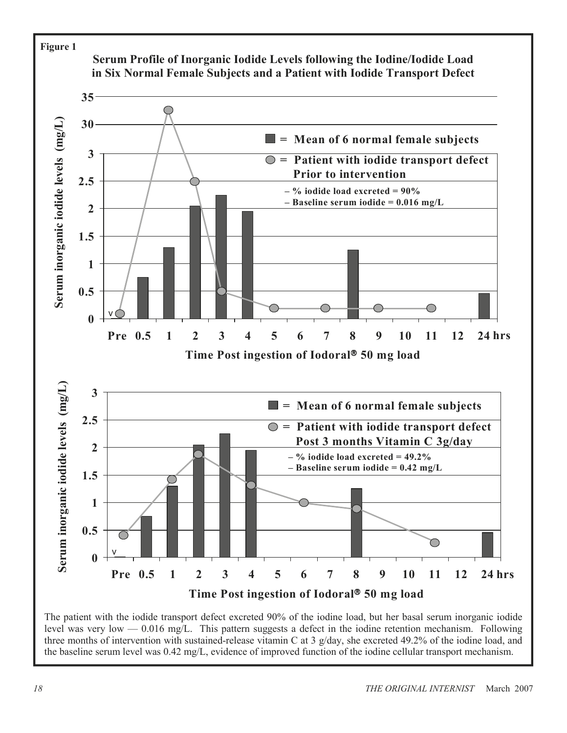

The patient with the iodide transport defect excreted 90% of the iodine load, but her basal serum inorganic iodide level was very low — 0.016 mg/L. This pattern suggests a defect in the iodine retention mechanism. Following three months of intervention with sustained-release vitamin C at 3  $g/day$ , she excreted 49.2% of the iodine load, and the baseline serum level was 0.42 mg/L, evidence of improved function of the iodine cellular transport me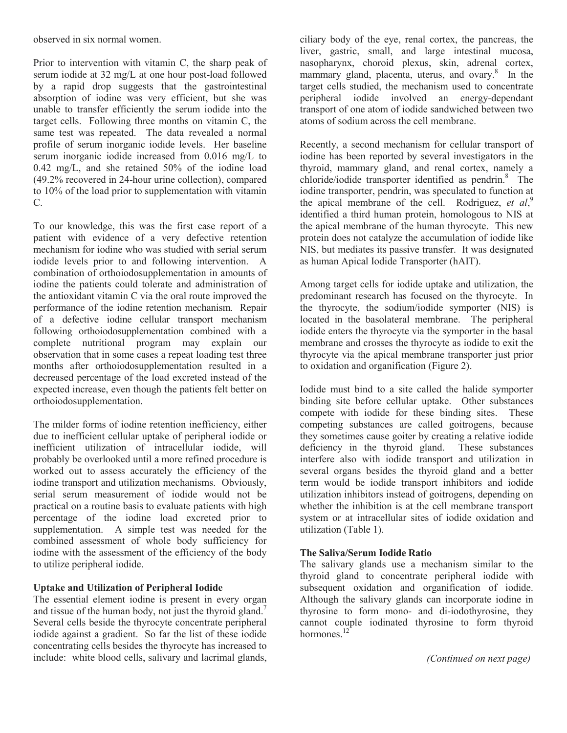observed in six normal women.

Prior to intervention with vitamin C, the sharp peak of serum iodide at 32 mg/L at one hour post-load followed by a rapid drop suggests that the gastrointestinal absorption of iodine was very efficient, but she was unable to transfer efficiently the serum iodide into the target cells. Following three months on vitamin C, the same test was repeated. The data revealed a normal profile of serum inorganic iodide levels. Her baseline serum inorganic iodide increased from 0.016 mg/L to 0.42 mg/L, and she retained 50% of the iodine load (49.2% recovered in 24-hour urine collection), compared to 10% of the load prior to supplementation with vitamin C.

To our knowledge, this was the first case report of a patient with evidence of a very defective retention mechanism for iodine who was studied with serial serum iodide levels prior to and following intervention. A combination of orthoiodosupplementation in amounts of iodine the patients could tolerate and administration of the antioxidant vitamin C via the oral route improved the performance of the iodine retention mechanism. Repair of a defective iodine cellular transport mechanism following orthoiodosupplementation combined with a complete nutritional program may explain our observation that in some cases a repeat loading test three months after orthoiodosupplementation resulted in a decreased percentage of the load excreted instead of the expected increase, even though the patients felt better on orthoiodosupplementation.

The milder forms of iodine retention inefficiency, either due to inefficient cellular uptake of peripheral iodide or inefficient utilization of intracellular iodide, will probably be overlooked until a more refined procedure is worked out to assess accurately the efficiency of the iodine transport and utilization mechanisms. Obviously, serial serum measurement of iodide would not be practical on a routine basis to evaluate patients with high percentage of the iodine load excreted prior to supplementation. A simple test was needed for the combined assessment of whole body sufficiency for iodine with the assessment of the efficiency of the body to utilize peripheral iodide.

#### Uptake and Utilization of Peripheral Iodide

The essential element iodine is present in every organ and tissue of the human body, not just the thyroid gland.<sup>7</sup> Several cells beside the thyrocyte concentrate peripheral iodide against a gradient. So far the list of these iodide concentrating cells besides the thyrocyte has increased to include: white blood cells, salivary and lacrimal glands,

ciliary body of the eye, renal cortex, the pancreas, the liver, gastric, small, and large intestinal mucosa, nasopharynx, choroid plexus, skin, adrenal cortex, mammary gland, placenta, uterus, and ovary.<sup>8</sup> In the target cells studied, the mechanism used to concentrate peripheral iodide involved an energy-dependant transport of one atom of iodide sandwiched between two atoms of sodium across the cell membrane.

Recently, a second mechanism for cellular transport of iodine has been reported by several investigators in the thyroid, mammary gland, and renal cortex, namely a chloride/iodide transporter identified as pendrin.<sup>8</sup> The iodine transporter, pendrin, was speculated to function at the apical membrane of the cell. Rodriguez, et  $al$ ,<sup>9</sup>, identified a third human protein, homologous to NIS at the apical membrane of the human thyrocyte. This new protein does not catalyze the accumulation of iodide like NIS, but mediates its passive transfer. It was designated as human Apical Iodide Transporter (hAIT).

Among target cells for iodide uptake and utilization, the predominant research has focused on the thyrocyte. In the thyrocyte, the sodium/iodide symporter (NIS) is located in the basolateral membrane. The peripheral iodide enters the thyrocyte via the symporter in the basal membrane and crosses the thyrocyte as iodide to exit the thyrocyte via the apical membrane transporter just prior to oxidation and organification (Figure 2).

Iodide must bind to a site called the halide symporter binding site before cellular uptake. Other substances compete with iodide for these binding sites. These competing substances are called goitrogens, because they sometimes cause goiter by creating a relative iodide deficiency in the thyroid gland. These substances interfere also with iodide transport and utilization in several organs besides the thyroid gland and a better term would be iodide transport inhibitors and iodide utilization inhibitors instead of goitrogens, depending on whether the inhibition is at the cell membrane transport system or at intracellular sites of iodide oxidation and utilization (Table 1).

#### The Saliva/Serum Iodide Ratio

The salivary glands use a mechanism similar to the thyroid gland to concentrate peripheral iodide with subsequent oxidation and organification of iodide. Although the salivary glands can incorporate iodine in thyrosine to form mono- and di-iodothyrosine, they cannot couple iodinated thyrosine to form thyroid hormones.<sup>12</sup>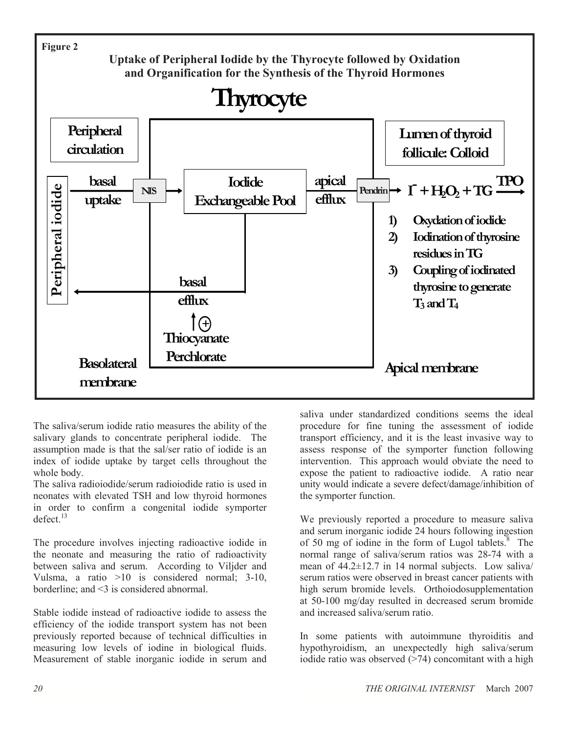

The saliva/serum iodide ratio measures the ability of the salivary glands to concentrate peripheral iodide. The assumption made is that the sal/ser ratio of iodide is an index of iodide uptake by target cells throughout the whole body.

The saliva radioiodide/serum radioiodide ratio is used in neonates with elevated TSH and low thyroid hormones in order to confirm a congenital iodide symporter defect $13$ 

The procedure involves injecting radioactive iodide in the neonate and measuring the ratio of radioactivity between saliva and serum. According to Viljder and Vulsma, a ratio >10 is considered normal; 3-10, borderline; and <3 is considered abnormal.

Stable iodide instead of radioactive iodide to assess the efficiency of the iodide transport system has not been previously reported because of technical difficulties in measuring low levels of iodine in biological fluids. Measurement of stable inorganic iodide in serum and saliva under standardized conditions seems the ideal procedure for fine tuning the assessment of iodide transport efficiency, and it is the least invasive way to assess response of the symporter function following intervention. This approach would obviate the need to expose the patient to radioactive iodide. A ratio near unity would indicate a severe defect/damage/inhibition of the symporter function.

We previously reported a procedure to measure saliva and serum inorganic iodide 24 hours following ingestion of 50 mg of iodine in the form of Lugol tablets. $8$  The normal range of saliva/serum ratios was 28-74 with a mean of 44.2±12.7 in 14 normal subjects. Low saliva/ serum ratios were observed in breast cancer patients with high serum bromide levels. Orthoiodosupplementation at 50-100 mg/day resulted in decreased serum bromide and increased saliva/serum ratio.

In some patients with autoimmune thyroiditis and hypothyroidism, an unexpectedly high saliva/serum iodide ratio was observed (>74) concomitant with a high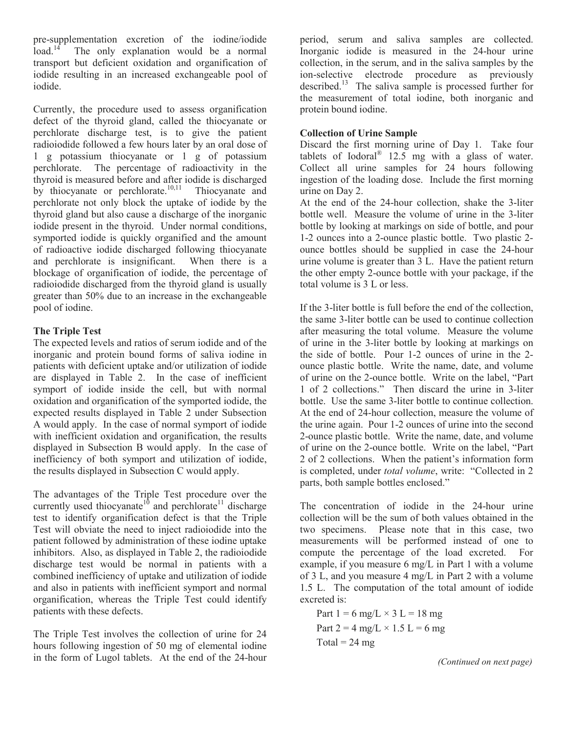pre-supplementation excretion of the iodine/iodide load.<sup>14</sup> The only explanation would be a normal The only explanation would be a normal transport but deficient oxidation and organification of iodide resulting in an increased exchangeable pool of iodide.

Currently, the procedure used to assess organification defect of the thyroid gland, called the thiocyanate or perchlorate discharge test, is to give the patient radioiodide followed a few hours later by an oral dose of 1 g potassium thiocyanate or 1 g of potassium The percentage of radioactivity in the thyroid is measured before and after iodide is discharged by thiocyanate or perchlorate.<sup>10,11</sup> Thiocyanate and perchlorate not only block the uptake of iodide by the thyroid gland but also cause a discharge of the inorganic iodide present in the thyroid. Under normal conditions, symported iodide is quickly organified and the amount of radioactive iodide discharged following thiocyanate and perchlorate is insignificant. When there is a blockage of organification of iodide, the percentage of radioiodide discharged from the thyroid gland is usually greater than 50% due to an increase in the exchangeable pool of iodine.

### The Triple Test

The expected levels and ratios of serum iodide and of the inorganic and protein bound forms of saliva iodine in patients with deficient uptake and/or utilization of iodide are displayed in Table 2. In the case of inefficient symport of iodide inside the cell, but with normal oxidation and organification of the symported iodide, the expected results displayed in Table 2 under Subsection A would apply. In the case of normal symport of iodide with inefficient oxidation and organification, the results displayed in Subsection B would apply. In the case of inefficiency of both symport and utilization of iodide, the results displayed in Subsection C would apply.

The advantages of the Triple Test procedure over the currently used thiocyanate<sup>10</sup> and perchlorate<sup>11</sup> discharge test to identify organification defect is that the Triple Test will obviate the need to inject radioiodide into the patient followed by administration of these iodine uptake inhibitors. Also, as displayed in Table 2, the radioiodide discharge test would be normal in patients with a combined inefficiency of uptake and utilization of iodide and also in patients with inefficient symport and normal organification, whereas the Triple Test could identify patients with these defects.

The Triple Test involves the collection of urine for 24 hours following ingestion of 50 mg of elemental iodine in the form of Lugol tablets. At the end of the 24-hour

period, serum and saliva samples are collected. Inorganic iodide is measured in the 24-hour urine collection, in the serum, and in the saliva samples by the ion-selective electrode procedure as previously described.<sup>13</sup> The saliva sample is processed further for the measurement of total iodine, both inorganic and protein bound iodine.

## Collection of Urine Sample

Discard the first morning urine of Day 1. Take four tablets of Iodoral<sup>®</sup> 12.5 mg with a glass of water. Collect all urine samples for 24 hours following ingestion of the loading dose. Include the first morning urine on Day 2.

At the end of the 24-hour collection, shake the 3-liter bottle well. Measure the volume of urine in the 3-liter bottle by looking at markings on side of bottle, and pour 1-2 ounces into a 2-ounce plastic bottle. Two plastic 2 ounce bottles should be supplied in case the 24-hour urine volume is greater than 3 L. Have the patient return the other empty 2-ounce bottle with your package, if the total volume is 3 L or less.

If the 3-liter bottle is full before the end of the collection, the same 3-liter bottle can be used to continue collection after measuring the total volume. Measure the volume of urine in the 3-liter bottle by looking at markings on the side of bottle. Pour 1-2 ounces of urine in the 2 ounce plastic bottle. Write the name, date, and volume of urine on the 2-ounce bottle. Write on the label, "Part 1 of 2 collections." Then discard the urine in 3-liter bottle. Use the same 3-liter bottle to continue collection. At the end of 24-hour collection, measure the volume of the urine again. Pour 1-2 ounces of urine into the second 2-ounce plastic bottle. Write the name, date, and volume of urine on the 2-ounce bottle. Write on the label, "Part 2 of 2 collections. When the patient's information form is completed, under *total volume*, write: "Collected in 2 parts, both sample bottles enclosed."

The concentration of iodide in the 24-hour urine collection will be the sum of both values obtained in the two specimens. Please note that in this case, two measurements will be performed instead of one to compute the percentage of the load excreted. For example, if you measure 6 mg/L in Part 1 with a volume of 3 L, and you measure 4 mg/L in Part 2 with a volume 1.5 L. The computation of the total amount of iodide excreted is:

Part 
$$
1 = 6
$$
 mg/L  $\times$  3 L = 18 mg  
Part 2 = 4 mg/L  $\times$  1.5 L = 6 mg  
Total = 24 mg

(Continued on next page)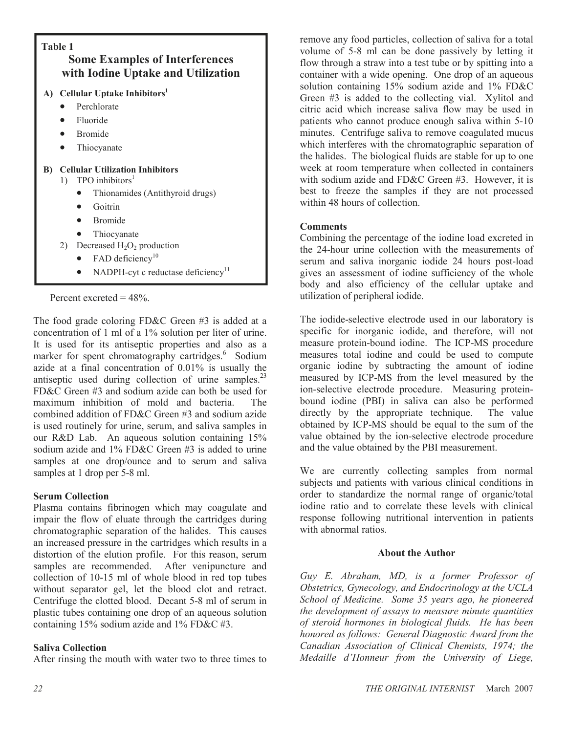

Percent excreted  $= 48\%$ .

The food grade coloring FD&C Green #3 is added at a concentration of 1 ml of a 1% solution per liter of urine. It is used for its antiseptic properties and also as a marker for spent chromatography cartridges.<sup>6</sup> Sodium azide at a final concentration of 0.01% is usually the antiseptic used during collection of urine samples. $23$ FD&C Green #3 and sodium azide can both be used for maximum inhibition of mold and bacteria. The combined addition of FD&C Green #3 and sodium azide is used routinely for urine, serum, and saliva samples in our R&D Lab. An aqueous solution containing 15% sodium azide and 1% FD&C Green #3 is added to urine samples at one drop/ounce and to serum and saliva samples at 1 drop per 5-8 ml.

### Serum Collection

Plasma contains fibrinogen which may coagulate and impair the flow of eluate through the cartridges during chromatographic separation of the halides. This causes an increased pressure in the cartridges which results in a distortion of the elution profile. For this reason, serum samples are recommended. After venipuncture and collection of 10-15 ml of whole blood in red top tubes without separator gel, let the blood clot and retract. Centrifuge the clotted blood. Decant 5-8 ml of serum in plastic tubes containing one drop of an aqueous solution containing 15% sodium azide and 1% FD&C #3.

### Saliva Collection

After rinsing the mouth with water two to three times to

remove any food particles, collection of saliva for a total volume of 5-8 ml can be done passively by letting it flow through a straw into a test tube or by spitting into a container with a wide opening. One drop of an aqueous solution containing 15% sodium azide and 1% FD&C Green #3 is added to the collecting vial. Xylitol and citric acid which increase saliva flow may be used in patients who cannot produce enough saliva within 5-10 minutes. Centrifuge saliva to remove coagulated mucus which interferes with the chromatographic separation of the halides. The biological fluids are stable for up to one week at room temperature when collected in containers with sodium azide and FD&C Green #3. However, it is best to freeze the samples if they are not processed within 48 hours of collection.

#### **Comments**

Combining the percentage of the iodine load excreted in the 24-hour urine collection with the measurements of serum and saliva inorganic iodide 24 hours post-load gives an assessment of iodine sufficiency of the whole body and also efficiency of the cellular uptake and utilization of peripheral iodide.

The iodide-selective electrode used in our laboratory is specific for inorganic iodide, and therefore, will not measure protein-bound iodine. The ICP-MS procedure measures total iodine and could be used to compute organic iodine by subtracting the amount of iodine measured by ICP-MS from the level measured by the ion-selective electrode procedure. Measuring proteinbound iodine (PBI) in saliva can also be performed directly by the appropriate technique. The value obtained by ICP-MS should be equal to the sum of the value obtained by the ion-selective electrode procedure and the value obtained by the PBI measurement.

We are currently collecting samples from normal subjects and patients with various clinical conditions in order to standardize the normal range of organic/total iodine ratio and to correlate these levels with clinical response following nutritional intervention in patients with abnormal ratios.

### About the Author

Guy E. Abraham, MD, is a former Professor of Obstetrics, Gynecology, and Endocrinology at the UCLA School of Medicine. Some 35 years ago, he pioneered the development of assays to measure minute quantities of steroid hormones in biological fluids. He has been honored as follows: General Diagnostic Award from the Canadian Association of Clinical Chemists, 1974; the Medaille d'Honneur from the University of Liege,